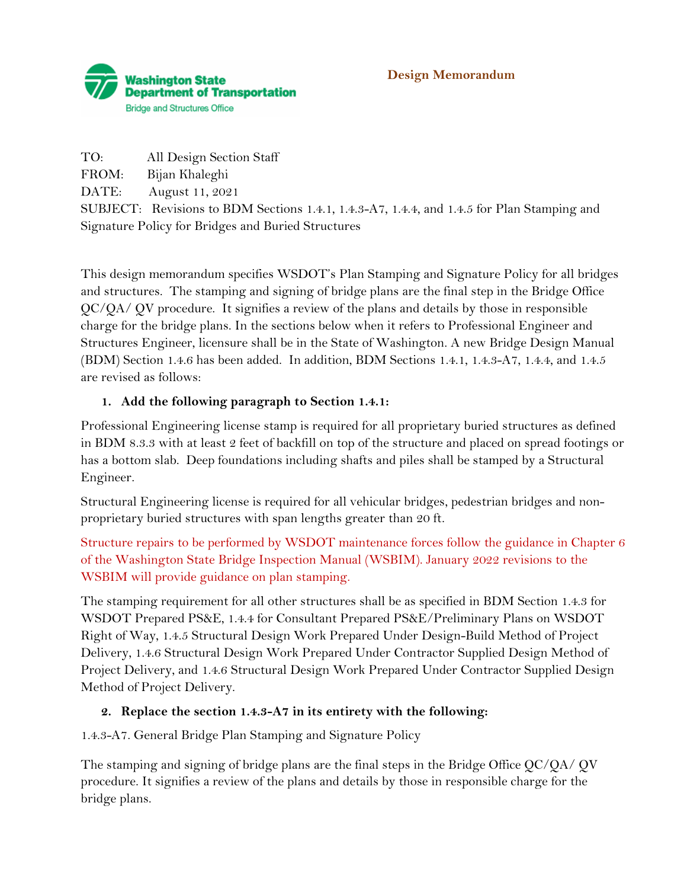

#### **Design Memorandum**

TO: All Design Section Staff FROM: Bijan Khaleghi DATE: August 11, 2021 SUBJECT: Revisions to BDM Sections 1.4.1, 1.4.3-A7, 1.4.4, and 1.4.5 for Plan Stamping and Signature Policy for Bridges and Buried Structures

This design memorandum specifies WSDOT's Plan Stamping and Signature Policy for all bridges and structures. The stamping and signing of bridge plans are the final step in the Bridge Office QC/QA/ QV procedure. It signifies a review of the plans and details by those in responsible charge for the bridge plans. In the sections below when it refers to Professional Engineer and Structures Engineer, licensure shall be in the State of Washington. A new Bridge Design Manual (BDM) Section 1.4.6 has been added. In addition, BDM Sections 1.4.1, 1.4.3-A7, 1.4.4, and 1.4.5 are revised as follows:

## **1. Add the following paragraph to Section 1.4.1:**

Professional Engineering license stamp is required for all proprietary buried structures as defined in BDM 8.3.3 with at least 2 feet of backfill on top of the structure and placed on spread footings or has a bottom slab. Deep foundations including shafts and piles shall be stamped by a Structural Engineer.

Structural Engineering license is required for all vehicular bridges, pedestrian bridges and nonproprietary buried structures with span lengths greater than 20 ft.

Structure repairs to be performed by WSDOT maintenance forces follow the guidance in Chapter 6 of the Washington State Bridge Inspection Manual (WSBIM). January 2022 revisions to the WSBIM will provide guidance on plan stamping.

The stamping requirement for all other structures shall be as specified in BDM Section 1.4.3 for WSDOT Prepared PS&E, 1.4.4 for Consultant Prepared PS&E/Preliminary Plans on WSDOT Right of Way, 1.4.5 Structural Design Work Prepared Under Design-Build Method of Project Delivery, 1.4.6 Structural Design Work Prepared Under Contractor Supplied Design Method of Project Delivery, and 1.4.6 Structural Design Work Prepared Under Contractor Supplied Design Method of Project Delivery.

## **2. Replace the section 1.4.3-A7 in its entirety with the following:**

1.4.3-A7. General Bridge Plan Stamping and Signature Policy

The stamping and signing of bridge plans are the final steps in the Bridge Office QC/QA/ QV procedure. It signifies a review of the plans and details by those in responsible charge for the bridge plans.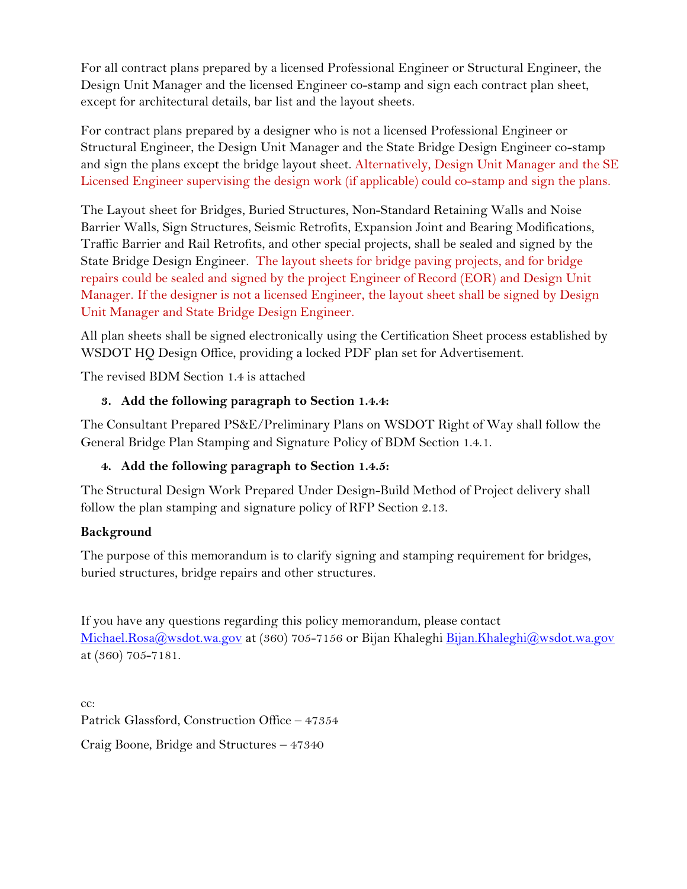For all contract plans prepared by a licensed Professional Engineer or Structural Engineer, the Design Unit Manager and the licensed Engineer co-stamp and sign each contract plan sheet, except for architectural details, bar list and the layout sheets.

For contract plans prepared by a designer who is not a licensed Professional Engineer or Structural Engineer, the Design Unit Manager and the State Bridge Design Engineer co-stamp and sign the plans except the bridge layout sheet. Alternatively, Design Unit Manager and the SE Licensed Engineer supervising the design work (if applicable) could co-stamp and sign the plans.

The Layout sheet for Bridges, Buried Structures, Non-Standard Retaining Walls and Noise Barrier Walls, Sign Structures, Seismic Retrofits, Expansion Joint and Bearing Modifications, Traffic Barrier and Rail Retrofits, and other special projects, shall be sealed and signed by the State Bridge Design Engineer. The layout sheets for bridge paving projects, and for bridge repairs could be sealed and signed by the project Engineer of Record (EOR) and Design Unit Manager. If the designer is not a licensed Engineer, the layout sheet shall be signed by Design Unit Manager and State Bridge Design Engineer.

All plan sheets shall be signed electronically using the Certification Sheet process established by WSDOT HQ Design Office, providing a locked PDF plan set for Advertisement.

The revised BDM Section 1.4 is attached

# **3. Add the following paragraph to Section 1.4.4:**

The Consultant Prepared PS&E/Preliminary Plans on WSDOT Right of Way shall follow the General Bridge Plan Stamping and Signature Policy of BDM Section 1.4.1.

# **4. Add the following paragraph to Section 1.4.5:**

The Structural Design Work Prepared Under Design-Build Method of Project delivery shall follow the plan stamping and signature policy of RFP Section 2.13.

# **Background**

The purpose of this memorandum is to clarify signing and stamping requirement for bridges, buried structures, bridge repairs and other structures.

If you have any questions regarding this policy memorandum, please contact Michael.Rosa@wsdot.wa.gov at (360) 705-7156 or Bijan Khaleghi [Bijan.Khaleghi@wsdot.wa.gov](about:blank) at (360) 705-7181.

cc: Patrick Glassford, Construction Office – 47354 Craig Boone, Bridge and Structures – 47340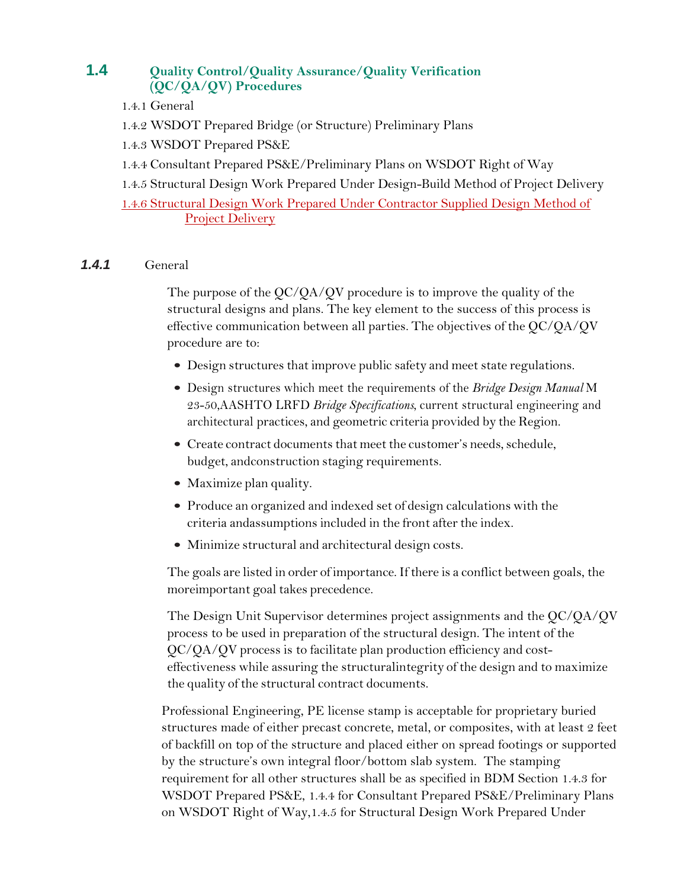# **1.4 Quality Control/Quality Assurance/Quality Verification (QC/QA/QV) Procedures**

- 1.4.1 General
- 1.4.2 WSDOT Prepared Bridge (or Structure) Preliminary Plans
- 1.4.3 WSDOT Prepared PS&E
- 1.4.4 Consultant Prepared PS&E/Preliminary Plans on WSDOT Right of Way
- 1.4.5 Structural Design Work Prepared Under Design-Build Method of Project Delivery

1.4.6 Structural Design Work Prepared Under Contractor Supplied Design Method of **Project Delivery** 

#### *1.4.1* General

The purpose of the QC/QA/QV procedure is to improve the quality of the structural designs and plans. The key element to the success of this process is effective communication between all parties. The objectives of the QC/QA/QV procedure are to:

- Design structures that improve public safety and meet state regulations.
- Design structures which meet the requirements of the *Bridge Design Manual* M 23-50,AASHTO LRFD *Bridge Specifications*, current structural engineering and architectural practices, and geometric criteria provided by the Region.
- Create contract documents that meet the customer's needs, schedule, budget, andconstruction staging requirements.
- Maximize plan quality.
- Produce an organized and indexed set of design calculations with the criteria andassumptions included in the front after the index.
- Minimize structural and architectural design costs.

The goals are listed in order of importance. If there is a conflict between goals, the moreimportant goal takes precedence.

The Design Unit Supervisor determines project assignments and the QC/QA/QV process to be used in preparation of the structural design. The intent of the QC/QA/QV process is to facilitate plan production efficiency and costeffectiveness while assuring the structuralintegrity of the design and to maximize the quality of the structural contract documents.

Professional Engineering, PE license stamp is acceptable for proprietary buried structures made of either precast concrete, metal, or composites, with at least 2 feet of backfill on top of the structure and placed either on spread footings or supported by the structure's own integral floor/bottom slab system. The stamping requirement for all other structures shall be as specified in BDM Section 1.4.3 for WSDOT Prepared PS&E, 1.4.4 for Consultant Prepared PS&E/Preliminary Plans on WSDOT Right of Way,1.4.5 for Structural Design Work Prepared Under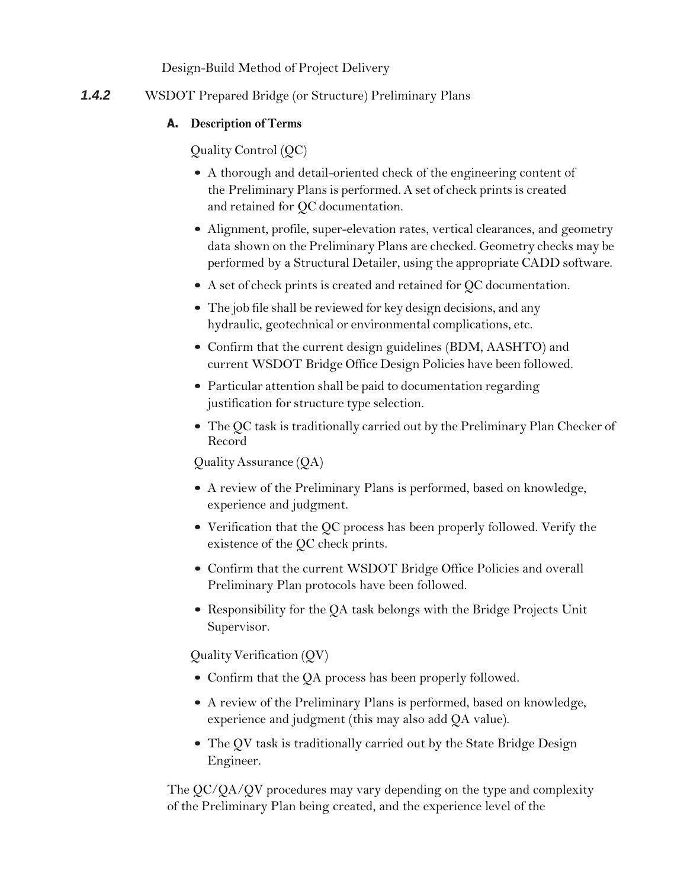Design-Build Method of Project Delivery

*1.4.2* WSDOT Prepared Bridge (or Structure) Preliminary Plans

# **A. Description of Terms**

Quality Control (QC)

- A thorough and detail-oriented check of the engineering content of the Preliminary Plans is performed. A set of check prints is created and retained for QC documentation.
- Alignment, profile, super-elevation rates, vertical clearances, and geometry data shown on the Preliminary Plans are checked. Geometry checks may be performed by a Structural Detailer, using the appropriate CADD software.
- A set of check prints is created and retained for QC documentation.
- The job file shall be reviewed for key design decisions, and any hydraulic, geotechnical or environmental complications, etc.
- Confirm that the current design guidelines (BDM, AASHTO) and current WSDOT Bridge Office Design Policies have been followed.
- Particular attention shall be paid to documentation regarding justification for structure type selection.
- The QC task is traditionally carried out by the Preliminary Plan Checker of Record

QualityAssurance (QA)

- A review of the Preliminary Plans is performed, based on knowledge, experience and judgment.
- Verification that the QC process has been properly followed. Verify the existence of the QC check prints.
- Confirm that the current WSDOT Bridge Office Policies and overall Preliminary Plan protocols have been followed.
- Responsibility for the QA task belongs with the Bridge Projects Unit Supervisor.

QualityVerification (QV)

- Confirm that the QA process has been properly followed.
- A review of the Preliminary Plans is performed, based on knowledge, experience and judgment (this may also add QA value).
- The QV task is traditionally carried out by the State Bridge Design Engineer.

The QC/QA/QV procedures may vary depending on the type and complexity of the Preliminary Plan being created, and the experience level of the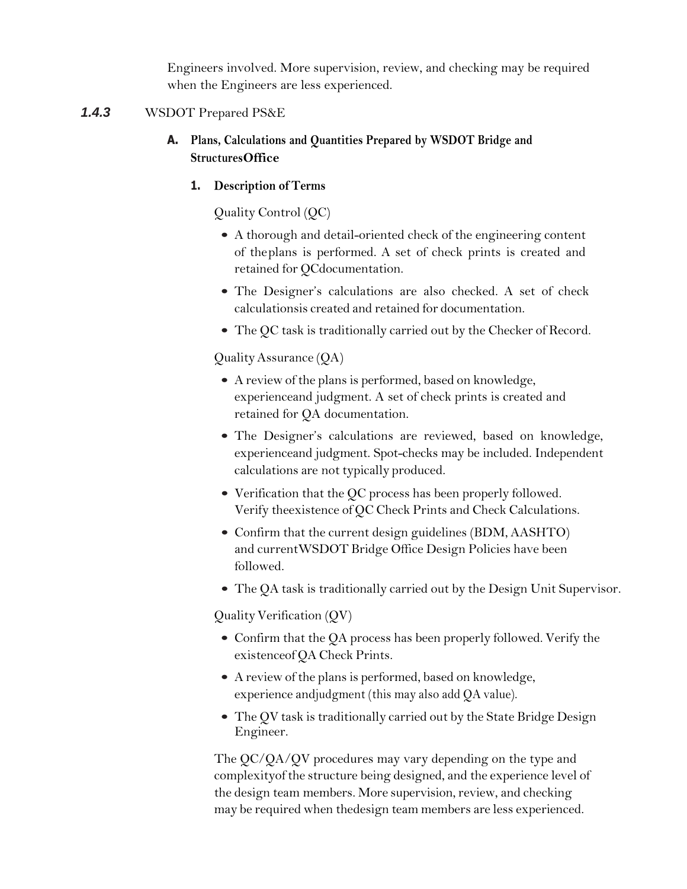Engineers involved. More supervision, review, and checking may be required when the Engineers are less experienced.

### *1.4.3* WSDOT Prepared PS&E

- **A. Plans, Calculations and Quantities Prepared by WSDOT Bridge and StructuresOffice**
	- **1. Description of Terms**

Quality Control (QC)

- A thorough and detail-oriented check of the engineering content of theplans is performed. A set of check prints is created and retained for QCdocumentation.
- The Designer's calculations are also checked. A set of check calculationsis created and retained for documentation.
- The QC task is traditionally carried out by the Checker of Record.

QualityAssurance (QA)

- A review of the plans is performed, based on knowledge, experienceand judgment. A set of check prints is created and retained for QA documentation.
- The Designer's calculations are reviewed, based on knowledge, experienceand judgment. Spot-checks may be included. Independent calculations are not typically produced.
- Verification that the QC process has been properly followed. Verify theexistence of QC Check Prints and Check Calculations.
- Confirm that the current design guidelines (BDM, AASHTO) and currentWSDOT Bridge Office Design Policies have been followed.
- The QA task is traditionally carried out by the Design Unit Supervisor.

Quality Verification  $(QV)$ 

- Confirm that the QA process has been properly followed. Verify the existenceof QA Check Prints.
- A review of the plans is performed, based on knowledge, experience andjudgment (this may also add QA value).
- The QV task is traditionally carried out by the State Bridge Design Engineer.

The QC/QA/QV procedures may vary depending on the type and complexityof the structure being designed, and the experience level of the design team members. More supervision, review, and checking may be required when thedesign team members are less experienced.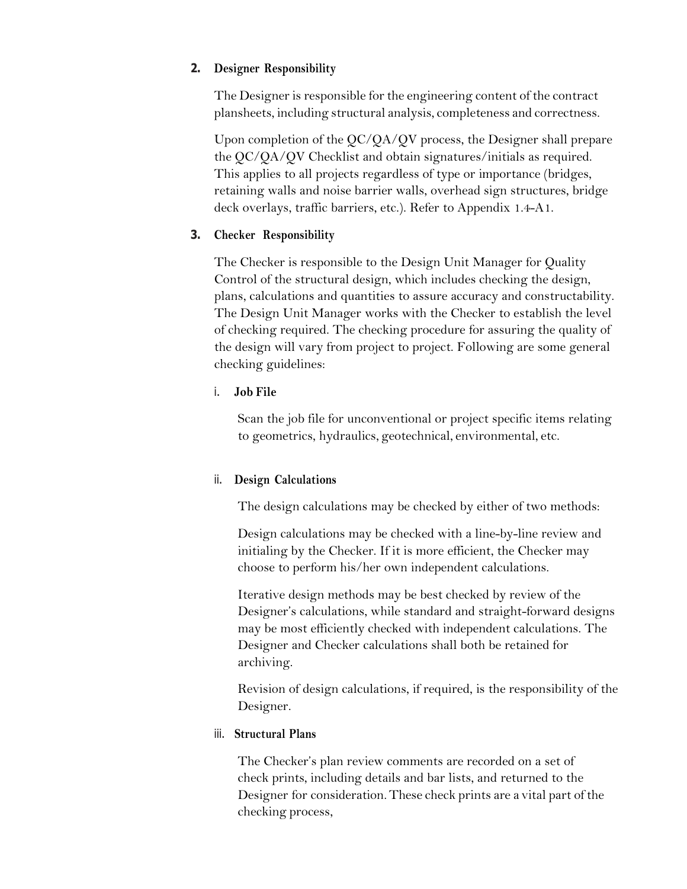### **2. Designer Responsibility**

The Designer is responsible for the engineering content of the contract plansheets, including structural analysis, completeness and correctness.

Upon completion of the QC/QA/QV process, the Designer shall prepare the QC/QA/QV Checklist and obtain signatures/initials as required. This applies to all projects regardless of type or importance (bridges, retaining walls and noise barrier walls, overhead sign structures, bridge deck overlays, traffic barriers, etc.). Refer to Appendix 1.4-A1.

## **3. Checker Responsibility**

The Checker is responsible to the Design Unit Manager for Quality Control of the structural design, which includes checking the design, plans, calculations and quantities to assure accuracy and constructability. The Design Unit Manager works with the Checker to establish the level of checking required. The checking procedure for assuring the quality of the design will vary from project to project. Following are some general checking guidelines:

## i. **Job File**

Scan the job file for unconventional or project specific items relating to geometrics, hydraulics, geotechnical, environmental, etc.

## ii. **Design Calculations**

The design calculations may be checked by either of two methods:

Design calculations may be checked with a line-by-line review and initialing by the Checker. If it is more efficient, the Checker may choose to perform his/her own independent calculations.

Iterative design methods may be best checked by review of the Designer's calculations, while standard and straight-forward designs may be most efficiently checked with independent calculations. The Designer and Checker calculations shall both be retained for archiving.

Revision of design calculations, if required, is the responsibility of the Designer.

## iii. **Structural Plans**

The Checker's plan review comments are recorded on a set of check prints, including details and bar lists, and returned to the Designer for consideration. These check prints are a vital part of the checking process,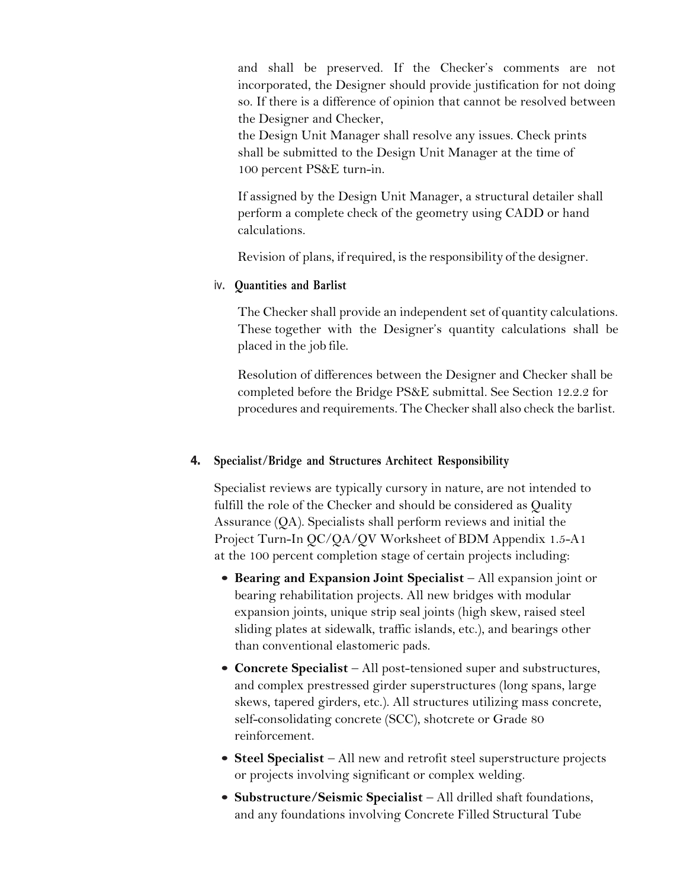and shall be preserved. If the Checker's comments are not incorporated, the Designer should provide justification for not doing so. If there is a difference of opinion that cannot be resolved between the Designer and Checker,

the Design Unit Manager shall resolve any issues. Check prints shall be submitted to the Design Unit Manager at the time of 100 percent PS&E turn-in.

If assigned by the Design Unit Manager, a structural detailer shall perform a complete check of the geometry using CADD or hand calculations.

Revision of plans, ifrequired, is the responsibility of the designer.

#### iv. **Quantities and Barlist**

The Checker shall provide an independent set of quantity calculations. These together with the Designer's quantity calculations shall be placed in the job file.

Resolution of differences between the Designer and Checker shall be completed before the Bridge PS&E submittal. See Section 12.2.2 for procedures and requirements. The Checker shall also check the barlist.

#### **4. Specialist/Bridge and Structures Architect Responsibility**

Specialist reviews are typically cursory in nature, are not intended to fulfill the role of the Checker and should be considered as Quality Assurance (QA). Specialists shall perform reviews and initial the Project Turn-In QC/QA/QV Worksheet of BDM Appendix 1.5-A1 at the 100 percent completion stage of certain projects including:

- **Bearing and Expansion Joint Specialist** All expansion joint or bearing rehabilitation projects. All new bridges with modular expansion joints, unique strip seal joints (high skew, raised steel sliding plates at sidewalk, traffic islands, etc.), and bearings other than conventional elastomeric pads.
- **Concrete Specialist** All post-tensioned super and substructures, and complex prestressed girder superstructures (long spans, large skews, tapered girders, etc.). All structures utilizing mass concrete, self-consolidating concrete (SCC), shotcrete or Grade 80 reinforcement.
- **Steel Specialist** All new and retrofit steel superstructure projects or projects involving significant or complex welding.
- **Substructure/Seismic Specialist** All drilled shaft foundations, and any foundations involving Concrete Filled Structural Tube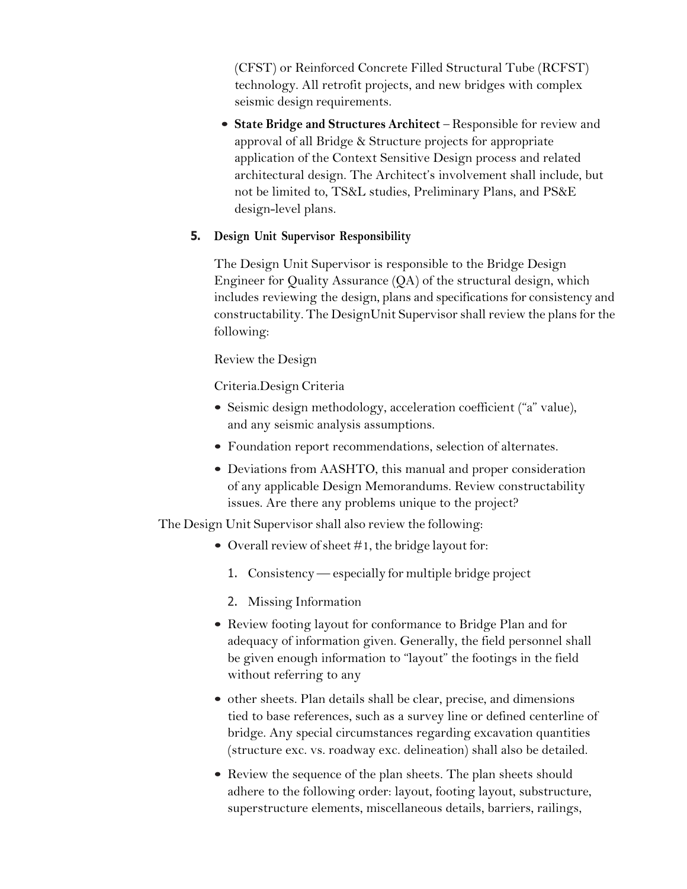(CFST) or Reinforced Concrete Filled Structural Tube (RCFST) technology. All retrofit projects, and new bridges with complex seismic design requirements.

• **State Bridge and Structures Architect** – Responsible for review and approval of all Bridge & Structure projects for appropriate application of the Context Sensitive Design process and related architectural design. The Architect's involvement shall include, but not be limited to, TS&L studies, Preliminary Plans, and PS&E design-level plans.

### **5. Design Unit Supervisor Responsibility**

The Design Unit Supervisor is responsible to the Bridge Design Engineer for Quality Assurance (QA) of the structural design, which includes reviewing the design, plans and specifications for consistency and constructability. The DesignUnit Supervisor shall review the plans for the following:

Review the Design

Criteria.Design Criteria

- Seismic design methodology, acceleration coefficient ("a" value), and any seismic analysis assumptions.
- Foundation report recommendations, selection of alternates.
- Deviations from AASHTO, this manual and proper consideration of any applicable Design Memorandums. Review constructability issues. Are there any problems unique to the project?

The Design Unit Supervisor shall also review the following:

- Overall review of sheet  $#1$ , the bridge layout for:
	- 1. Consistency especially for multiple bridge project
	- 2. Missing Information
- Review footing layout for conformance to Bridge Plan and for adequacy of information given. Generally, the field personnel shall be given enough information to "layout" the footings in the field without referring to any
- other sheets. Plan details shall be clear, precise, and dimensions tied to base references, such as a survey line or defined centerline of bridge. Any special circumstances regarding excavation quantities (structure exc. vs. roadway exc. delineation) shall also be detailed.
- Review the sequence of the plan sheets. The plan sheets should adhere to the following order: layout, footing layout, substructure, superstructure elements, miscellaneous details, barriers, railings,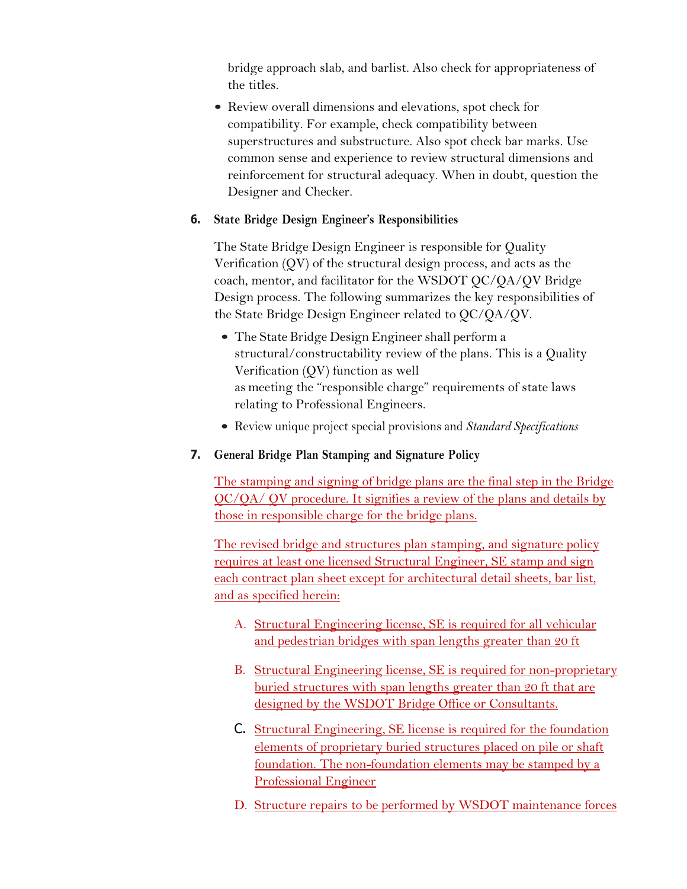bridge approach slab, and barlist. Also check for appropriateness of the titles.

• Review overall dimensions and elevations, spot check for compatibility. For example, check compatibility between superstructures and substructure. Also spot check bar marks. Use common sense and experience to review structural dimensions and reinforcement for structural adequacy. When in doubt, question the Designer and Checker.

### **6. State Bridge Design Engineer's Responsibilities**

The State Bridge Design Engineer is responsible for Quality Verification (QV) of the structural design process, and acts as the coach, mentor, and facilitator for the WSDOT QC/QA/QV Bridge Design process. The following summarizes the key responsibilities of the State Bridge Design Engineer related to QC/QA/QV.

- The State Bridge Design Engineer shall perform a structural/constructability review of the plans. This is a Quality Verification (QV) function as well as meeting the "responsible charge" requirements of state laws relating to Professional Engineers.
- Review unique project special provisions and *Standard Specifications*

## **7. General Bridge Plan Stamping and Signature Policy**

The stamping and signing of bridge plans are the final step in the Bridge QC/QA/ QV procedure. It signifies a review of the plans and details by those in responsible charge for the bridge plans.

The revised bridge and structures plan stamping, and signature policy requires at least one licensed Structural Engineer, SE stamp and sign each contract plan sheet except for architectural detail sheets, bar list, and as specified herein:

- A. Structural Engineering license, SE is required for all vehicular and pedestrian bridges with span lengths greater than 20 ft
- B. Structural Engineering license, SE is required for non-proprietary buried structures with span lengths greater than 20 ft that are designed by the WSDOT Bridge Office or Consultants.
- C. Structural Engineering, SE license is required for the foundation elements of proprietary buried structures placed on pile or shaft foundation. The non-foundation elements may be stamped by a Professional Engineer
- D. Structure repairs to be performed by WSDOT maintenance forces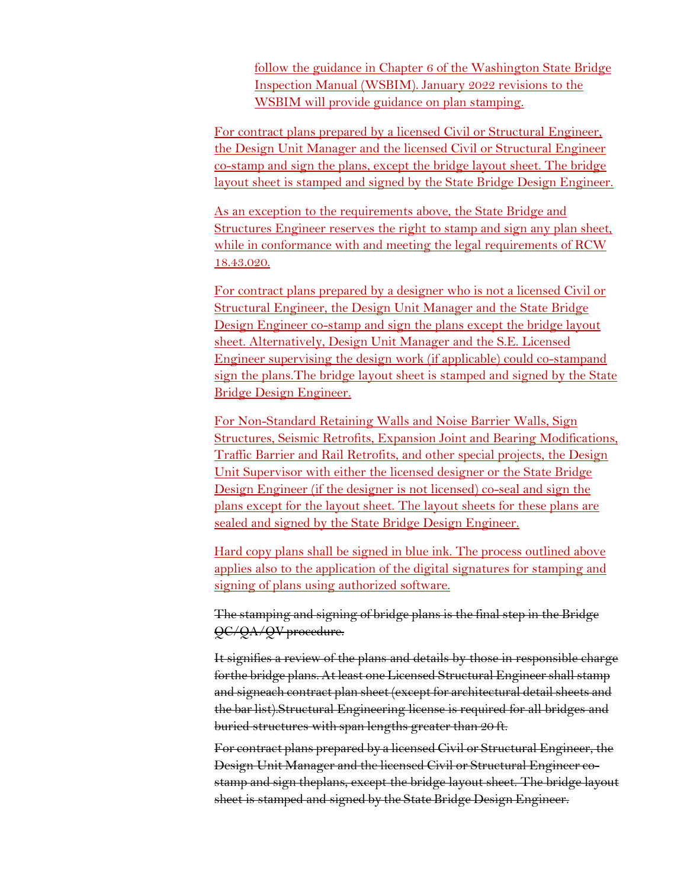follow the guidance in Chapter 6 of the Washington State Bridge Inspection Manual (WSBIM). January 2022 revisions to the WSBIM will provide guidance on plan stamping.

For contract plans prepared by a licensed Civil or Structural Engineer, the Design Unit Manager and the licensed Civil or Structural Engineer co-stamp and sign the plans, except the bridge layout sheet. The bridge layout sheet is stamped and signed by the State Bridge Design Engineer.

As an exception to the requirements above, the State Bridge and Structures Engineer reserves the right to stamp and sign any plan sheet, while in conformance with and meeting the legal requirements of RCW 18.43.020.

For contract plans prepared by a designer who is not a licensed Civil or Structural Engineer, the Design Unit Manager and the State Bridge Design Engineer co-stamp and sign the plans except the bridge layout sheet. Alternatively, Design Unit Manager and the S.E. Licensed Engineer supervising the design work (if applicable) could co-stampand sign the plans.The bridge layout sheet is stamped and signed by the State Bridge Design Engineer.

For Non-Standard Retaining Walls and Noise Barrier Walls, Sign Structures, Seismic Retrofits, Expansion Joint and Bearing Modifications, Traffic Barrier and Rail Retrofits, and other special projects, the Design Unit Supervisor with either the licensed designer or the State Bridge Design Engineer (if the designer is not licensed) co-seal and sign the plans except for the layout sheet. The layout sheets for these plans are sealed and signed by the State Bridge Design Engineer.

Hard copy plans shall be signed in blue ink. The process outlined above applies also to the application of the digital signatures for stamping and signing of plans using authorized software.

The stamping and signing of bridge plans is the final step in the Bridge QC/QA/QVprocedure.

It signifies a review of the plans and details by those in responsible charge forthe bridge plans. At least one Licensed Structural Engineer shall stamp and signeach contract plan sheet (except for architectural detail sheets and the bar list).Structural Engineering license is required for all bridges and buried structures with span lengths greater than 20 ft.

For contract plans prepared by a licensed Civil or Structural Engineer, the Design Unit Manager and the licensed Civil or Structural Engineer costamp and sign theplans, except the bridge layout sheet. The bridge layout sheet is stamped and signed by the State Bridge Design Engineer.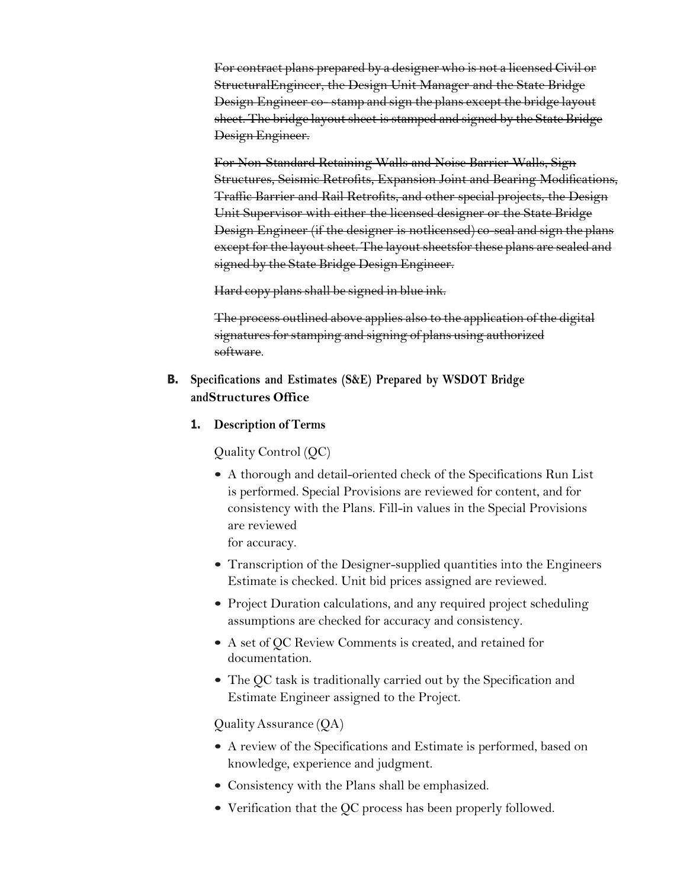For contract plans prepared by a designer who is not a licensed Civil or StructuralEngineer, the Design Unit Manager and the State Bridge Design Engineer co- stamp and sign the plans except the bridge layout sheet. The bridge layout sheet is stamped and signed by the State Bridge Design Engineer.

For Non-Standard Retaining Walls and Noise Barrier Walls, Sign Structures, Seismic Retrofits, Expansion Joint and Bearing Modifications, Traffic Barrier and Rail Retrofits, and other special projects, the Design Unit Supervisor with either the licensed designer or the State Bridge Design Engineer (if the designer is notlicensed) co-seal and sign the plans except for the layout sheet. The layout sheetsfor these plans are sealed and signed by the State Bridge Design Engineer.

Hard copy plans shall be signed in blue ink.

The process outlined above applies also to the application of the digital signatures for stamping and signing of plans using authorized software.

- **B. Specifications and Estimates (S&E) Prepared by WSDOT Bridge andStructures Office**
	- **1. Description of Terms**

Quality Control (QC)

• A thorough and detail-oriented check of the Specifications Run List is performed. Special Provisions are reviewed for content, and for consistency with the Plans. Fill-in values in the Special Provisions are reviewed

for accuracy.

- Transcription of the Designer-supplied quantities into the Engineers Estimate is checked. Unit bid prices assigned are reviewed.
- Project Duration calculations, and any required project scheduling assumptions are checked for accuracy and consistency.
- A set of QC Review Comments is created, and retained for documentation.
- The QC task is traditionally carried out by the Specification and Estimate Engineer assigned to the Project.

QualityAssurance (QA)

- A review of the Specifications and Estimate is performed, based on knowledge, experience and judgment.
- Consistency with the Plans shall be emphasized.
- Verification that the QC process has been properly followed.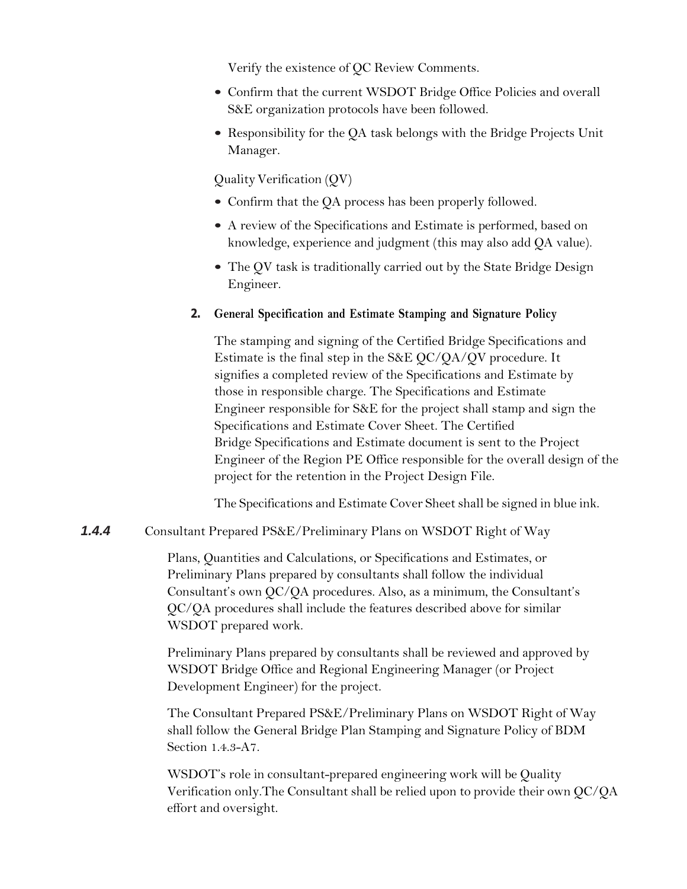Verify the existence of QC Review Comments.

- Confirm that the current WSDOT Bridge Office Policies and overall S&E organization protocols have been followed.
- Responsibility for the QA task belongs with the Bridge Projects Unit Manager.

QualityVerification (QV)

- Confirm that the QA process has been properly followed.
- A review of the Specifications and Estimate is performed, based on knowledge, experience and judgment (this may also add QA value).
- The QV task is traditionally carried out by the State Bridge Design Engineer.

#### **2. General Specification and Estimate Stamping and Signature Policy**

The stamping and signing of the Certified Bridge Specifications and Estimate is the final step in the S&E QC/QA/QV procedure. It signifies a completed review of the Specifications and Estimate by those in responsible charge. The Specifications and Estimate Engineer responsible for S&E for the project shall stamp and sign the Specifications and Estimate Cover Sheet. The Certified Bridge Specifications and Estimate document is sent to the Project Engineer of the Region PE Office responsible for the overall design of the project for the retention in the Project Design File.

The Specifications and Estimate Cover Sheet shall be signed in blue ink.

### *1.4.4* Consultant Prepared PS&E/Preliminary Plans on WSDOT Right of Way

Plans, Quantities and Calculations, or Specifications and Estimates, or Preliminary Plans prepared by consultants shall follow the individual Consultant's own QC/QA procedures. Also, as a minimum, the Consultant's QC/QA procedures shall include the features described above for similar WSDOT prepared work.

Preliminary Plans prepared by consultants shall be reviewed and approved by WSDOT Bridge Office and Regional Engineering Manager (or Project Development Engineer) for the project.

The Consultant Prepared PS&E/Preliminary Plans on WSDOT Right of Way shall follow the General Bridge Plan Stamping and Signature Policy of BDM Section 1.4.3-A7.

WSDOT's role in consultant-prepared engineering work will be Quality Verification only.The Consultant shall be relied upon to provide their own QC/QA effort and oversight.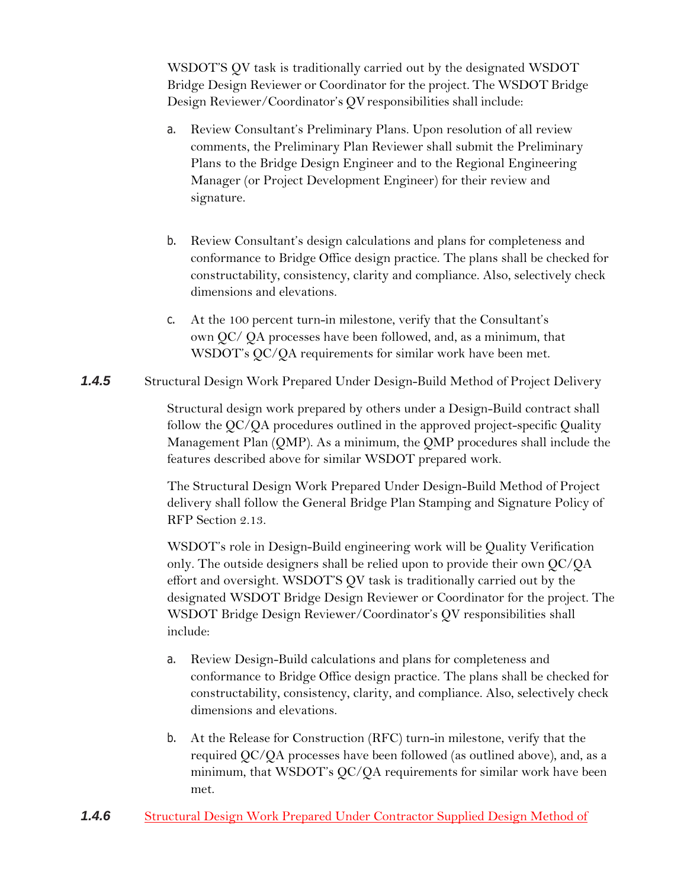WSDOT'S QV task is traditionally carried out by the designated WSDOT Bridge Design Reviewer or Coordinator for the project. The WSDOT Bridge Design Reviewer/Coordinator's QV responsibilities shall include:

- a. Review Consultant's Preliminary Plans. Upon resolution of all review comments, the Preliminary Plan Reviewer shall submit the Preliminary Plans to the Bridge Design Engineer and to the Regional Engineering Manager (or Project Development Engineer) for their review and signature.
- b. Review Consultant's design calculations and plans for completeness and conformance to Bridge Office design practice. The plans shall be checked for constructability, consistency, clarity and compliance. Also, selectively check dimensions and elevations.
- c. At the 100 percent turn-in milestone, verify that the Consultant's own QC/ QA processes have been followed, and, as a minimum, that WSDOT's QC/QA requirements for similar work have been met.
- *1.4.5* Structural Design Work Prepared Under Design-Build Method of Project Delivery

Structural design work prepared by others under a Design-Build contract shall follow the QC/QA procedures outlined in the approved project-specific Quality Management Plan (QMP). As a minimum, the QMP procedures shall include the features described above for similar WSDOT prepared work.

The Structural Design Work Prepared Under Design-Build Method of Project delivery shall follow the General Bridge Plan Stamping and Signature Policy of RFP Section 2.13.

WSDOT's role in Design-Build engineering work will be Quality Verification only. The outside designers shall be relied upon to provide their own QC/QA effort and oversight. WSDOT'S QV task is traditionally carried out by the designated WSDOT Bridge Design Reviewer or Coordinator for the project. The WSDOT Bridge Design Reviewer/Coordinator's QV responsibilities shall include:

- a. Review Design-Build calculations and plans for completeness and conformance to Bridge Office design practice. The plans shall be checked for constructability, consistency, clarity, and compliance. Also, selectively check dimensions and elevations.
- b. At the Release for Construction (RFC) turn-in milestone, verify that the required QC/QA processes have been followed (as outlined above), and, as a minimum, that WSDOT's QC/QA requirements for similar work have been met.
- *1.4.6* Structural Design Work Prepared Under Contractor Supplied Design Method of